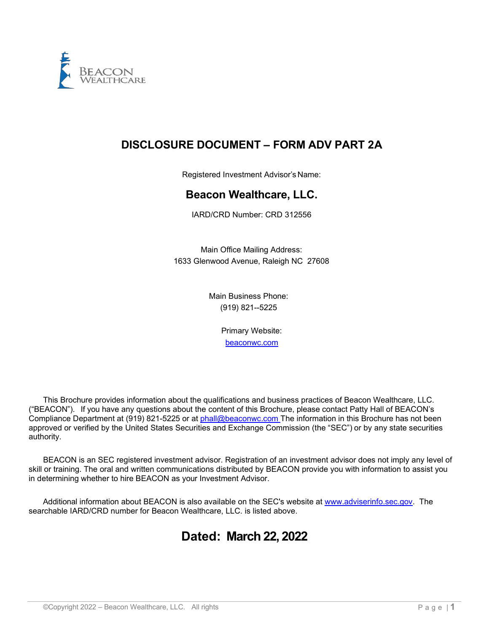

# **DISCLOSURE DOCUMENT – FORM ADV PART 2A**

Registered Investment Advisor's Name:

# **Beacon Wealthcare, LLC.**

IARD/CRD Number: CRD 312556

Main Office Mailing Address: 1633 Glenwood Avenue, Raleigh NC 27608

> Main Business Phone: (919) 821--5225

> > Primary Website: [beaconwc.com](http://www.beaconinvest.com/)

This Brochure provides information about the qualifications and business practices of Beacon Wealthcare, LLC. ("BEACON"). If you have any questions about the content of this Brochure, please contact Patty Hall of BEACON's Compliance Department at (919) 821-5225 or at [phall@beaconwc.com](mailto:phall@beaconwc.com) The information in this Brochure has not been approved or verified by the United States Securities and Exchange Commission (the "SEC") or by any state securities authority.

BEACON is an SEC registered investment advisor. Registration of an investment advisor does not imply any level of skill or training. The oral and written communications distributed by BEACON provide you with information to assist you in determining whether to hire BEACON as your Investment Advisor.

Additional information about BEACON is also available on the SEC's website at [www.adviserinfo.sec.gov.](https://adviserinfo.sec.gov/) The searchable IARD/CRD number for Beacon Wealthcare, LLC. is listed above.

# **Dated: March 22, 2022**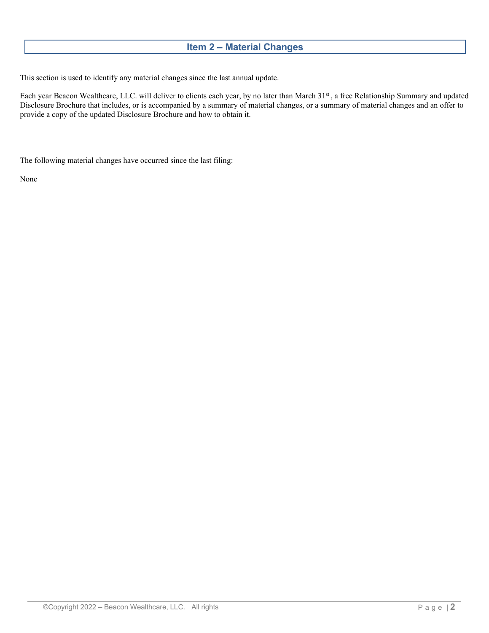# **Item 2 – Material Changes**

<span id="page-1-0"></span>This section is used to identify any material changes since the last annual update.

Each year Beacon Wealthcare, LLC. will deliver to clients each year, by no later than March 31st, a free Relationship Summary and updated Disclosure Brochure that includes, or is accompanied by a summary of material changes, or a summary of material changes and an offer to provide a copy of the updated Disclosure Brochure and how to obtain it.

The following material changes have occurred since the last filing:

None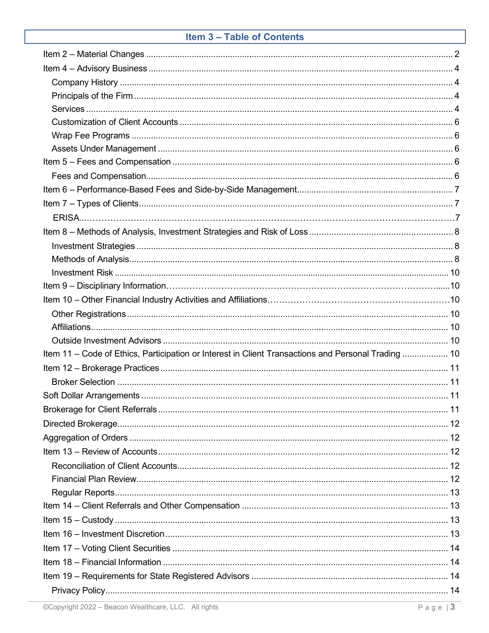# Item 3 - Table of Contents

| Item 11 – Code of Ethics, Participation or Interest in Client Transactions and Personal Trading  10 |  |
|-----------------------------------------------------------------------------------------------------|--|
|                                                                                                     |  |
|                                                                                                     |  |
|                                                                                                     |  |
|                                                                                                     |  |
|                                                                                                     |  |
|                                                                                                     |  |
|                                                                                                     |  |
|                                                                                                     |  |
|                                                                                                     |  |
|                                                                                                     |  |
|                                                                                                     |  |
|                                                                                                     |  |
|                                                                                                     |  |
|                                                                                                     |  |
|                                                                                                     |  |
|                                                                                                     |  |
|                                                                                                     |  |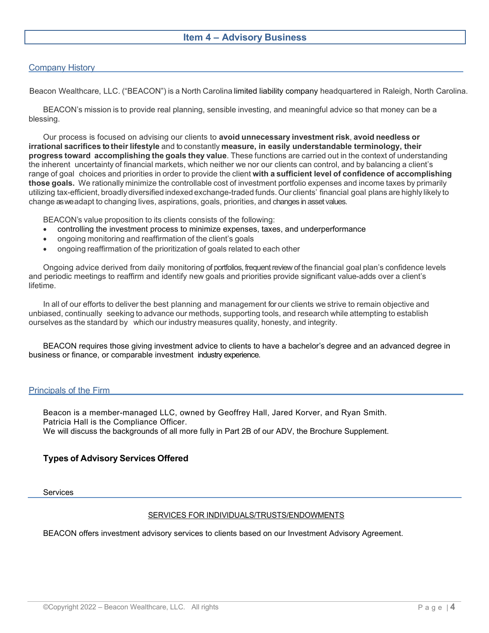# **Item 4 – Advisory Business**

#### <span id="page-3-0"></span>Company History

Beacon Wealthcare, LLC. ("BEACON") is a North Carolina limited liability company headquartered in Raleigh, North Carolina.

BEACON's mission is to provide real planning, sensible investing, and meaningful advice so that money can be a blessing.

Our process is focused on advising our clients to **avoid unnecessary investment risk**, **avoid needless or irrational sacrifices to their lifestyle** and to constantly **measure, in easily understandable terminology, their progress toward accomplishing the goals they value**. These functions are carried out in the context of understanding the inherent uncertainty of financial markets, which neither we nor our clients can control, and by balancing a client's range of goal choices and priorities in order to provide the client **with a sufficient level of confidence of accomplishing those goals.** We rationally minimize the controllable cost of investment portfolio expenses and income taxes by primarily utilizing tax-efficient, broadly diversified indexed exchange-traded funds. Our clients' financial goal plans are highly likely to change as we adapt to changing lives, aspirations, goals, priorities, and changes in asset values.

BEACON's value proposition to its clients consists of the following:

- controlling the investment process to minimize expenses, taxes, and underperformance
- ongoing monitoring and reaffirmation of the client's goals
- ongoing reaffirmation of the prioritization of goals related to each other

Ongoing advice derived from daily monitoring of portfolios, frequent review of the financial goal plan's confidence levels and periodic meetings to reaffirm and identify new goals and priorities provide significant value-adds over a client's lifetime.

In all of our efforts to deliver the best planning and management for our clients we strive to remain objective and unbiased, continually seeking to advance our methods, supporting tools, and research while attempting to establish ourselves as the standard by which our industry measures quality, honesty, and integrity.

BEACON requires those giving investment advice to clients to have a bachelor's degree and an advanced degree in business or finance, or comparable investment industry experience.

#### <span id="page-3-1"></span>Principals of the Firm

Beacon is a member-managed LLC, owned by Geoffrey Hall, Jared Korver, and Ryan Smith. Patricia Hall is the Compliance Officer. We will discuss the backgrounds of all more fully in Part 2B of our ADV, the Brochure Supplement.

#### **Types of Advisory Services Offered**

<span id="page-3-2"></span>Services

#### SERVICES FOR INDIVIDUALS/TRUSTS/ENDOWMENTS

BEACON offers investment advisory services to clients based on our Investment Advisory Agreement.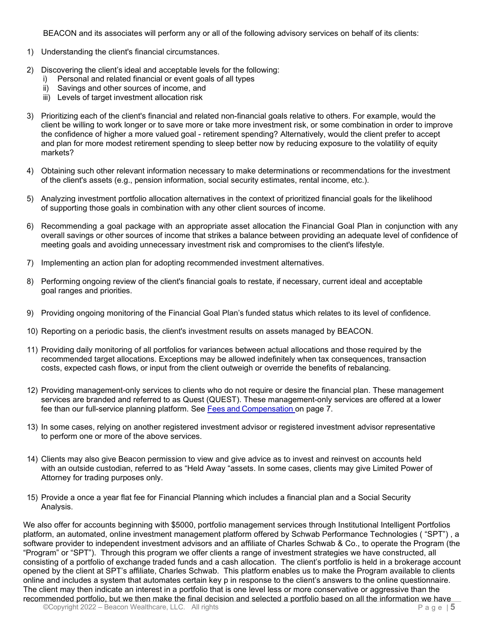BEACON and its associates will perform any or all of the following advisory services on behalf of its clients:

- 1) Understanding the client's financial circumstances.
- 2) Discovering the client's ideal and acceptable levels for the following:
	- i) Personal and related financial or event goals of all types
	- ii) Savings and other sources of income, and
	- iii) Levels of target investment allocation risk
- 3) Prioritizing each of the client's financial and related non-financial goals relative to others. For example, would the client be willing to work longer or to save more or take more investment risk, or some combination in order to improve the confidence of higher a more valued goal - retirement spending? Alternatively, would the client prefer to accept and plan for more modest retirement spending to sleep better now by reducing exposure to the volatility of equity markets?
- 4) Obtaining such other relevant information necessary to make determinations or recommendations for the investment of the client's assets (e.g., pension information, social security estimates, rental income, etc.).
- 5) Analyzing investment portfolio allocation alternatives in the context of prioritized financial goals for the likelihood of supporting those goals in combination with any other client sources of income.
- 6) Recommending a goal package with an appropriate asset allocation the Financial Goal Plan in conjunction with any overall savings or other sources of income that strikes a balance between providing an adequate level of confidence of meeting goals and avoiding unnecessary investment risk and compromises to the client's lifestyle.
- 7) Implementing an action plan for adopting recommended investment alternatives.
- 8) Performing ongoing review of the client's financial goals to restate, if necessary, current ideal and acceptable goal ranges and priorities.
- 9) Providing ongoing monitoring of the Financial Goal Plan's funded status which relates to its level of confidence.
- 10) Reporting on a periodic basis, the client's investment results on assets managed by BEACON.
- 11) Providing daily monitoring of all portfolios for variances between actual allocations and those required by the recommended target allocations. Exceptions may be allowed indefinitely when tax consequences, transaction costs, expected cash flows, or input from the client outweigh or override the benefits of rebalancing.
- 12) Providing management-only services to clients who do not require or desire the financial plan. These management services are branded and referred to as Quest (QUEST). These management-only services are offered at a lower fee than our full-service planning platform. See Fees and [Compensation](#page-5-4) on page 7.
- 13) In some cases, relying on another registered investment advisor or registered investment advisor representative to perform one or more of the above services.
- 14) Clients may also give Beacon permission to view and give advice as to invest and reinvest on accounts held with an outside custodian, referred to as "Held Away "assets. In some cases, clients may give Limited Power of Attorney for trading purposes only.
- 15) Provide a once a year flat fee for Financial Planning which includes a financial plan and a Social Security Analysis.

©Copyright 2022 – Beacon Wealthcare, LLC. All rights P a g e | **5** We also offer for accounts beginning with \$5000, portfolio management services through Institutional Intelligent Portfolios platform, an automated, online investment management platform offered by Schwab Performance Technologies ( "SPT") , a software provider to independent investment advisors and an affiliate of Charles Schwab & Co., to operate the Program (the "Program" or "SPT"). Through this program we offer clients a range of investment strategies we have constructed, all consisting of a portfolio of exchange traded funds and a cash allocation. The client's portfolio is held in a brokerage account opened by the client at SPT's affiliate, Charles Schwab. This platform enables us to make the Program available to clients online and includes a system that automates certain key p in response to the client's answers to the online questionnaire. The client may then indicate an interest in a portfolio that is one level less or more conservative or aggressive than the recommended portfolio, but we then make the final decision and selected a portfolio based on all the information we have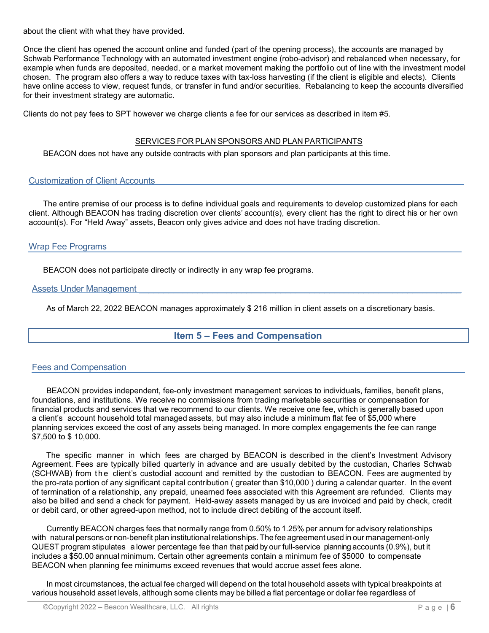about the client with what they have provided.

Once the client has opened the account online and funded (part of the opening process), the accounts are managed by Schwab Performance Technology with an automated investment engine (robo-advisor) and rebalanced when necessary, for example when funds are deposited, needed, or a market movement making the portfolio out of line with the investment model chosen. The program also offers a way to reduce taxes with tax-loss harvesting (if the client is eligible and elects). Clients have online access to view, request funds, or transfer in fund and/or securities. Rebalancing to keep the accounts diversified for their investment strategy are automatic.

Clients do not pay fees to SPT however we charge clients a fee for our services as described in item #5.

#### SERVICES FOR PLAN SPONSORS AND PLAN PARTICIPANTS

BEACON does not have any outside contracts with plan sponsors and plan participants at this time.

#### <span id="page-5-0"></span>Customization of Client Accounts

The entire premise of our process is to define individual goals and requirements to develop customized plans for each client. Although BEACON has trading discretion over clients' account(s), every client has the right to direct his or her own account(s). For "Held Away" assets, Beacon only gives advice and does not have trading discretion.

### <span id="page-5-1"></span>Wrap Fee Programs

BEACON does not participate directly or indirectly in any wrap fee programs.

#### <span id="page-5-2"></span>Assets Under Management

<span id="page-5-3"></span>As of March 22, 2022 BEACON manages approximately \$ 216 million in client assets on a discretionary basis.

# **Item 5 – Fees and Compensation**

#### <span id="page-5-4"></span>Fees and Compensation

BEACON provides independent, fee-only investment management services to individuals, families, benefit plans, foundations, and institutions. We receive no commissions from trading marketable securities or compensation for financial products and services that we recommend to our clients. We receive one fee, which is generally based upon a client's account household total managed assets, but may also include a minimum flat fee of \$5,000 where planning services exceed the cost of any assets being managed. In more complex engagements the fee can range \$7,500 to \$ 10,000.

The specific manner in which fees are charged by BEACON is described in the client's Investment Advisory Agreement. Fees are typically billed quarterly in advance and are usually debited by the custodian, Charles Schwab (SCHWAB) from the client's custodial account and remitted by the custodian to BEACON. Fees are augmented by the pro-rata portion of any significant capital contribution ( greater than \$10,000 ) during a calendar quarter. In the event of termination of a relationship, any prepaid, unearned fees associated with this Agreement are refunded. Clients may also be billed and send a check for payment. Held-away assets managed by us are invoiced and paid by check, credit or debit card, or other agreed-upon method, not to include direct debiting of the account itself.

Currently BEACON charges fees that normally range from 0.50% to 1.25% per annum for advisory relationships with natural persons or non-benefit plan institutional relationships. The fee agreement used in our management-only QUEST program stipulates a lower percentage fee than that paid by our full-service planning accounts (0.9%), but it includes a \$50.00 annual minimum. Certain other agreements contain a minimum fee of \$5000 to compensate BEACON when planning fee minimums exceed revenues that would accrue asset fees alone.

In most circumstances, the actual fee charged will depend on the total household assets with typical breakpoints at various household asset levels, although some clients may be billed a flat percentage or dollar fee regardless of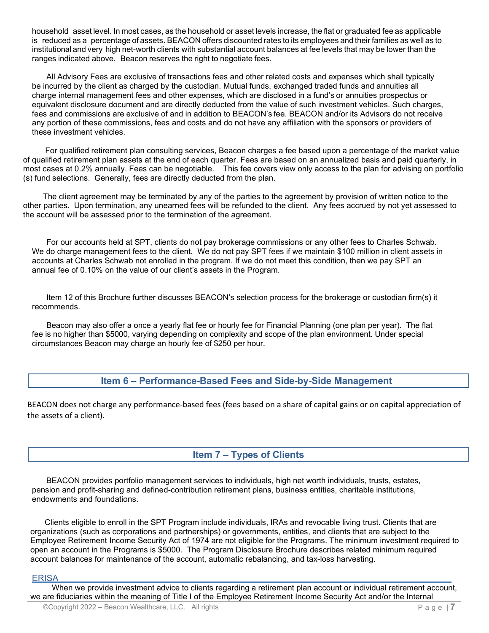household asset level. In most cases, as the household or asset levels increase, the flat or graduated fee as applicable is reduced as a percentage of assets. BEACON offers discounted rates to its employees and their families as well as to institutional and very high net-worth clients with substantial account balances at fee levels that may be lower than the ranges indicated above. Beacon reserves the right to negotiate fees.

All Advisory Fees are exclusive of transactions fees and other related costs and expenses which shall typically be incurred by the client as charged by the custodian. Mutual funds, exchanged traded funds and annuities all charge internal management fees and other expenses, which are disclosed in a fund's or annuities prospectus or equivalent disclosure document and are directly deducted from the value of such investment vehicles. Such charges, fees and commissions are exclusive of and in addition to BEACON's fee. BEACON and/or its Advisors do not receive any portion of these commissions, fees and costs and do not have any affiliation with the sponsors or providers of these investment vehicles.

 For qualified retirement plan consulting services, Beacon charges a fee based upon a percentage of the market value of qualified retirement plan assets at the end of each quarter. Fees are based on an annualized basis and paid quarterly, in most cases at 0.2% annually. Fees can be negotiable. This fee covers view only access to the plan for advising on portfolio (s) fund selections. Generally, fees are directly deducted from the plan.

 The client agreement may be terminated by any of the parties to the agreement by provision of written notice to the other parties. Upon termination, any unearned fees will be refunded to the client. Any fees accrued by not yet assessed to the account will be assessed prior to the termination of the agreement.

For our accounts held at SPT, clients do not pay brokerage commissions or any other fees to Charles Schwab. We do charge management fees to the client. We do not pay SPT fees if we maintain \$100 million in client assets in accounts at Charles Schwab not enrolled in the program. If we do not meet this condition, then we pay SPT an annual fee of 0.10% on the value of our client's assets in the Program.

Item 12 of this Brochure further discusses BEACON's selection process for the brokerage or custodian firm(s) it recommends.

Beacon may also offer a once a yearly flat fee or hourly fee for Financial Planning (one plan per year). The flat fee is no higher than \$5000, varying depending on complexity and scope of the plan environment. Under special circumstances Beacon may charge an hourly fee of \$250 per hour.

# **Item 6 – Performance-Based Fees and Side-by-Side Management**

<span id="page-6-0"></span>BEACON does not charge any performance-based fees (fees based on a share of capital gains or on capital appreciation of the assets of a client).

**Item 7 – Types of Clients**

<span id="page-6-1"></span>BEACON provides portfolio management services to individuals, high net worth individuals, trusts, estates, pension and profit-sharing and defined-contribution retirement plans, business entities, charitable institutions, endowments and foundations.

Clients eligible to enroll in the SPT Program include individuals, IRAs and revocable living trust. Clients that are organizations (such as corporations and partnerships) or governments, entities, and clients that are subject to the Employee Retirement Income Security Act of 1974 are not eligible for the Programs. The minimum investment required to open an account in the Programs is \$5000. The Program Disclosure Brochure describes related minimum required account balances for maintenance of the account, automatic rebalancing, and tax-loss harvesting.

### ERISA \_\_\_\_\_\_\_\_\_\_\_\_\_\_\_\_\_\_\_\_\_\_\_\_\_\_\_\_\_\_\_\_\_\_\_\_\_\_\_\_\_\_\_\_\_\_\_\_\_\_\_\_\_\_\_\_\_\_\_\_\_\_\_\_\_\_

When we provide investment advice to clients regarding a retirement plan account or individual retirement account, we are fiduciaries within the meaning of Title I of the Employee Retirement Income Security Act and/or the Internal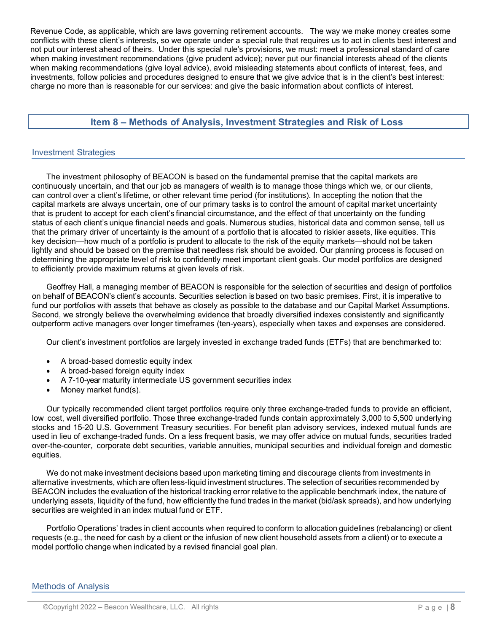Revenue Code, as applicable, which are laws governing retirement accounts. The way we make money creates some conflicts with these client's interests, so we operate under a special rule that requires us to act in clients best interest and not put our interest ahead of theirs. Under this special rule's provisions, we must: meet a professional standard of care when making investment recommendations (give prudent advice); never put our financial interests ahead of the clients when making recommendations (give loyal advice), avoid misleading statements about conflicts of interest, fees, and investments, follow policies and procedures designed to ensure that we give advice that is in the client's best interest: charge no more than is reasonable for our services: and give the basic information about conflicts of interest.

# **Item 8 – Methods of Analysis, Investment Strategies and Risk of Loss**

#### <span id="page-7-1"></span><span id="page-7-0"></span>Investment Strategies

The investment philosophy of BEACON is based on the fundamental premise that the capital markets are continuously uncertain, and that our job as managers of wealth is to manage those things which we, or our clients, can control over a client's lifetime, or other relevant time period (for institutions). In accepting the notion that the capital markets are always uncertain, one of our primary tasks is to control the amount of capital market uncertainty that is prudent to accept for each client's financial circumstance, and the effect of that uncertainty on the funding status of each client's unique financial needs and goals. Numerous studies, historical data and common sense, tell us that the primary driver of uncertainty is the amount of a portfolio that is allocated to riskier assets, like equities. This key decision—how much of a portfolio is prudent to allocate to the risk of the equity markets—should not be taken lightly and should be based on the premise that needless risk should be avoided. Our planning process is focused on determining the appropriate level of risk to confidently meet important client goals. Our model portfolios are designed to efficiently provide maximum returns at given levels of risk.

Geoffrey Hall, a managing member of BEACON is responsible for the selection of securities and design of portfolios on behalf of BEACON's client's accounts. Securities selection is based on two basic premises. First, it is imperative to fund our portfolios with assets that behave as closely as possible to the database and our Capital Market Assumptions. Second, we strongly believe the overwhelming evidence that broadly diversified indexes consistently and significantly outperform active managers over longer timeframes (ten-years), especially when taxes and expenses are considered.

Our client's investment portfolios are largely invested in exchange traded funds (ETFs) that are benchmarked to:

- A broad-based domestic equity index
- A broad-based foreign equity index
- A 7-10-year maturity intermediate US government securities index
- Money market fund(s).

Our typically recommended client target portfolios require only three exchange-traded funds to provide an efficient, low cost, well diversified portfolio. Those three exchange-traded funds contain approximately 3,000 to 5,500 underlying stocks and 15-20 U.S. Government Treasury securities. For benefit plan advisory services, indexed mutual funds are used in lieu of exchange-traded funds. On a less frequent basis, we may offer advice on mutual funds, securities traded over-the-counter, corporate debt securities, variable annuities, municipal securities and individual foreign and domestic equities.

We do not make investment decisions based upon marketing timing and discourage clients from investments in alternative investments, which are often less-liquid investment structures. The selection of securities recommended by BEACON includes the evaluation of the historical tracking error relative to the applicable benchmark index, the nature of underlying assets, liquidity of the fund, how efficiently the fund trades in the market (bid/ask spreads), and how underlying securities are weighted in an index mutual fund or ETF.

Portfolio Operations' trades in client accounts when required to conform to allocation guidelines (rebalancing) or client requests (e.g., the need for cash by a client or the infusion of new client household assets from a client) or to execute a model portfolio change when indicated by a revised financial goal plan.

<span id="page-7-2"></span>Methods of Analysis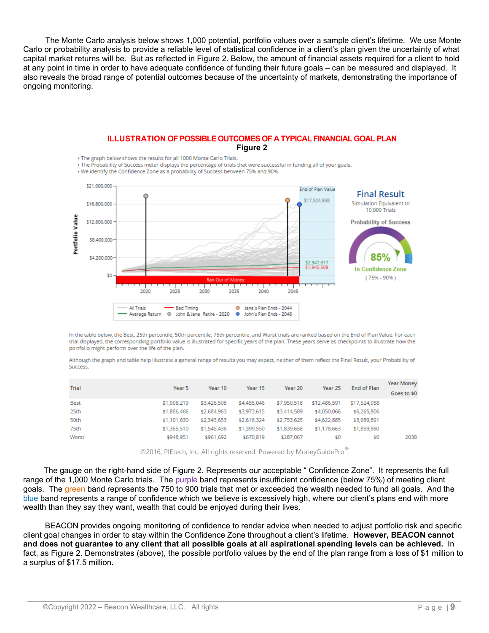The Monte Carlo analysis below shows 1,000 potential, portfolio values over a sample client's lifetime. We use Monte Carlo or probability analysis to provide a reliable level of statistical confidence in a client's plan given the uncertainty of what capital market returns will be. But as reflected in Figure 2. Below, the amount of financial assets required for a client to hold at any point in time in order to have adequate confidence of funding their future goals – can be measured and displayed. It also reveals the broad range of potential outcomes because of the uncertainty of markets, demonstrating the importance of ongoing monitoring.

#### **ILLUSTRATION OF POSSIBLE OUTCOMES OF A TYPICAL FINANCIAL GOAL PLAN Figure 2**

. The graph below shows the results for all 1000 Monte Carlo Trials.

. The Probability of Success meter displays the percentage of trials that were successful in funding all of your goals.

. We identify the Confidence Zone as a probability of Success between 75% and 90%.



In the table below, the Best, 25th percentile, 50th percentile, 75th percentile, and Worst trials are ranked based on the End of Plan Value. For each trial displayed, the corresponding portfolio value is illustrated for specific years of the plan. These years serve as checkpoints to illustrate how the portfolio might perform over the life of the plan.

Although the graph and table help illustrate a general range of results you may expect, neither of them reflect the Final Result, your Probability of **Success** 

| <b>Trial</b> | Year 5      | Year 10     | Year 15     | Year 20     | Year 25      | End of Plan  | <b>Year Money</b><br>Goes to \$0 |
|--------------|-------------|-------------|-------------|-------------|--------------|--------------|----------------------------------|
| Best         | \$1,908,219 | \$3,426,508 | \$4,455,046 | \$7,950,518 | \$12,486,591 | \$17,524,958 |                                  |
| 25th         | \$1,886,466 | \$2,684,963 | \$3,973,615 | \$3,414,589 | \$4,050,066  | \$6,265,806  |                                  |
| 50th         | \$1,101,630 | \$2,343,653 | \$2,616,324 | \$2,753,625 | \$4,622,885  | \$3,689,891  |                                  |
| 75th         | \$1,365,510 | \$1,545,436 | \$1,399,550 | \$1,839,658 | \$1,178,663  | \$1,859,860  |                                  |
| Worst        | \$948.951   | \$961,692   | \$670,819   | \$287,067   | \$0          | \$0          | 2038                             |

©2016, PIEtech, Inc. All rights reserved. Powered by MoneyGuidePro

 The gauge on the right-hand side of Figure 2. Represents our acceptable " Confidence Zone". It represents the full range of the 1,000 Monte Carlo trials. The purple band represents insufficient confidence (below 75%) of meeting client goals. The green band represents the 750 to 900 trials that met or exceeded the wealth needed to fund all goals. And the blue band represents a range of confidence which we believe is excessively high, where our client's plans end with more wealth than they say they want, wealth that could be enjoyed during their lives.

 BEACON provides ongoing monitoring of confidence to render advice when needed to adjust portfolio risk and specific client goal changes in order to stay within the Confidence Zone throughout a client's lifetime. **However, BEACON cannot and does not guarantee to any client that all possible goals at all aspirational spending levels can be achieved.** In fact, as Figure 2. Demonstrates (above), the possible portfolio values by the end of the plan range from a loss of \$1 million to a surplus of \$17.5 million.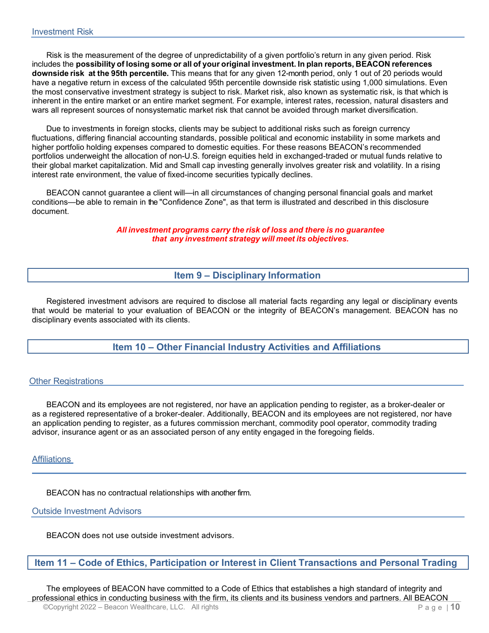<span id="page-9-0"></span>Risk is the measurement of the degree of unpredictability of a given portfolio's return in any given period. Risk includes the **possibility of losing some or all of your original investment. In plan reports, BEACON references downside risk at the 95th percentile.** This means that for any given 12-month period, only 1 out of 20 periods would have a negative return in excess of the calculated 95th percentile downside risk statistic using 1,000 simulations. Even the most conservative investment strategy is subject to risk. Market risk, also known as systematic risk, is that which is inherent in the entire market or an entire market segment. For example, interest rates, recession, natural disasters and wars all represent sources of nonsystematic market risk that cannot be avoided through market diversification.

Due to investments in foreign stocks, clients may be subject to additional risks such as foreign currency fluctuations, differing financial accounting standards, possible political and economic instability in some markets and higher portfolio holding expenses compared to domestic equities. For these reasons BEACON's recommended portfolios underweight the allocation of non-U.S. foreign equities held in exchanged-traded or mutual funds relative to their global market capitalization. Mid and Small cap investing generally involves greater risk and volatility. In a rising interest rate environment, the value of fixed-income securities typically declines.

BEACON cannot guarantee a client will—in all circumstances of changing personal financial goals and market conditions—be able to remain in the "Confidence Zone", as that term is illustrated and described in this disclosure document.

> *All investment programs carry the risk of loss and there is no guarantee that any investment strategy will meet its objectives.*

> > **Item 9 – Disciplinary Information**

<span id="page-9-1"></span>Registered investment advisors are required to disclose all material facts regarding any legal or disciplinary events that would be material to your evaluation of BEACON or the integrity of BEACON's management. BEACON has no disciplinary events associated with its clients.

**Item 10 – Other Financial Industry Activities and Affiliations**

#### <span id="page-9-3"></span><span id="page-9-2"></span>**Other Registrations**

BEACON and its employees are not registered, nor have an application pending to register, as a broker-dealer or as a registered representative of a broker-dealer. Additionally, BEACON and its employees are not registered, nor have an application pending to register, as a futures commission merchant, commodity pool operator, commodity trading advisor, insurance agent or as an associated person of any entity engaged in the foregoing fields.

#### <span id="page-9-4"></span>Affiliations

BEACON has no contractual relationships with another firm.

#### <span id="page-9-5"></span>Outside Investment Advisors

BEACON does not use outside investment advisors.

#### <span id="page-9-6"></span>**Item 11 – Code of Ethics, Participation or Interest in Client Transactions and Personal Trading**

©Copyright 2022 – Beacon Wealthcare, LLC. All rights P a g e | **10** The employees of BEACON have committed to a Code of Ethics that establishes a high standard of integrity and professional ethics in conducting business with the firm, its clients and its business vendors and partners. All BEACON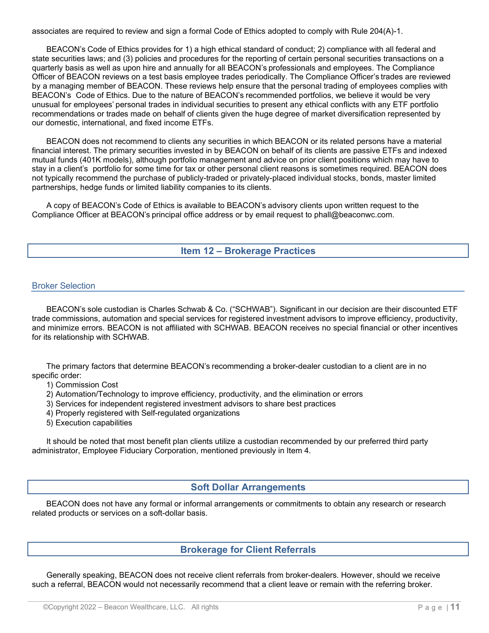associates are required to review and sign a formal Code of Ethics adopted to comply with Rule 204(A)-1.

BEACON's Code of Ethics provides for 1) a high ethical standard of conduct; 2) compliance with all federal and state securities laws; and (3) policies and procedures for the reporting of certain personal securities transactions on a quarterly basis as well as upon hire and annually for all BEACON's professionals and employees. The Compliance Officer of BEACON reviews on a test basis employee trades periodically. The Compliance Officer's trades are reviewed by a managing member of BEACON. These reviews help ensure that the personal trading of employees complies with BEACON's Code of Ethics. Due to the nature of BEACON's recommended portfolios, we believe it would be very unusual for employees' personal trades in individual securities to present any ethical conflicts with any ETF portfolio recommendations or trades made on behalf of clients given the huge degree of market diversification represented by our domestic, international, and fixed income ETFs.

BEACON does not recommend to clients any securities in which BEACON or its related persons have a material financial interest. The primary securities invested in by BEACON on behalf of its clients are passive ETFs and indexed mutual funds (401K models), although portfolio management and advice on prior client positions which may have to stay in a client's portfolio for some time for tax or other personal client reasons is sometimes required. BEACON does not typically recommend the purchase of publicly-traded or privately-placed individual stocks, bonds, master limited partnerships, hedge funds or limited liability companies to its clients.

A copy of BEACON's Code of Ethics is available to BEACON's advisory clients upon written request to the Compliance Officer at BEACON's principal office address or by email request to [phall@beaconwc.com.](mailto:phall@beaconwc.com)

### **Item 12 – Brokerage Practices**

#### <span id="page-10-1"></span><span id="page-10-0"></span>Broker Selection

BEACON's sole custodian is Charles Schwab & Co. ("SCHWAB"). Significant in our decision are their discounted ETF trade commissions, automation and special services for registered investment advisors to improve efficiency, productivity, and minimize errors. BEACON is not affiliated with SCHWAB. BEACON receives no special financial or other incentives for its relationship with SCHWAB.

The primary factors that determine BEACON's recommending a broker-dealer custodian to a client are in no specific order:

1) Commission Cost

- 2) Automation/Technology to improve efficiency, productivity, and the elimination or errors
- 3) Services for independent registered investment advisors to share best practices
- 4) Properly registered with Self-regulated organizations
- 5) Execution capabilities

It should be noted that most benefit plan clients utilize a custodian recommended by our preferred third party administrator, Employee Fiduciary Corporation, mentioned previously in Item 4.

#### **Soft Dollar Arrangements**

<span id="page-10-2"></span>BEACON does not have any formal or informal arrangements or commitments to obtain any research or research related products or services on a soft-dollar basis.

# **Brokerage for Client Referrals**

<span id="page-10-3"></span>Generally speaking, BEACON does not receive client referrals from broker-dealers. However, should we receive such a referral, BEACON would not necessarily recommend that a client leave or remain with the referring broker.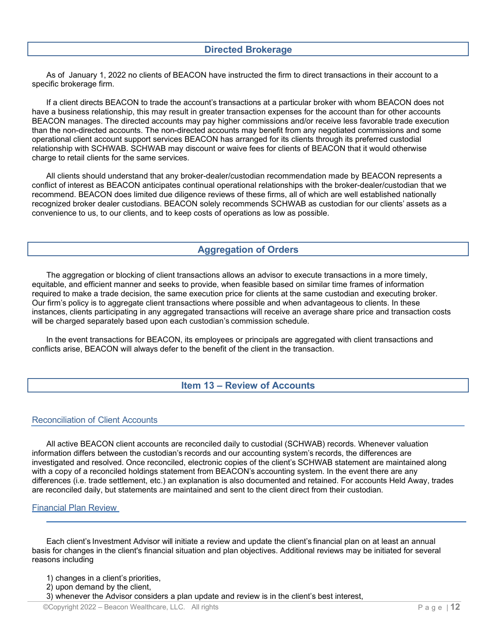### **Directed Brokerage**

<span id="page-11-0"></span>As of January 1, 2022 no clients of BEACON have instructed the firm to direct transactions in their account to a specific brokerage firm.

If a client directs BEACON to trade the account's transactions at a particular broker with whom BEACON does not have a business relationship, this may result in greater transaction expenses for the account than for other accounts BEACON manages. The directed accounts may pay higher commissions and/or receive less favorable trade execution than the non-directed accounts. The non-directed accounts may benefit from any negotiated commissions and some operational client account support services BEACON has arranged for its clients through its preferred custodial relationship with SCHWAB. SCHWAB may discount or waive fees for clients of BEACON that it would otherwise charge to retail clients for the same services.

All clients should understand that any broker-dealer/custodian recommendation made by BEACON represents a conflict of interest as BEACON anticipates continual operational relationships with the broker-dealer/custodian that we recommend. BEACON does limited due diligence reviews of these firms, all of which are well established nationally recognized broker dealer custodians. BEACON solely recommends SCHWAB as custodian for our clients' assets as a convenience to us, to our clients, and to keep costs of operations as low as possible.

# **Aggregation of Orders**

<span id="page-11-1"></span>The aggregation or blocking of client transactions allows an advisor to execute transactions in a more timely, equitable, and efficient manner and seeks to provide, when feasible based on similar time frames of information required to make a trade decision, the same execution price for clients at the same custodian and executing broker. Our firm's policy is to aggregate client transactions where possible and when advantageous to clients. In these instances, clients participating in any aggregated transactions will receive an average share price and transaction costs will be charged separately based upon each custodian's commission schedule.

In the event transactions for BEACON, its employees or principals are aggregated with client transactions and conflicts arise, BEACON will always defer to the benefit of the client in the transaction.

#### **Item 13 – Review of Accounts**

#### <span id="page-11-3"></span><span id="page-11-2"></span>Reconciliation of Client Accounts

All active BEACON client accounts are reconciled daily to custodial (SCHWAB) records. Whenever valuation information differs between the custodian's records and our accounting system's records, the differences are investigated and resolved. Once reconciled, electronic copies of the client's SCHWAB statement are maintained along with a copy of a reconciled holdings statement from BEACON's accounting system. In the event there are any differences (i.e. trade settlement, etc.) an explanation is also documented and retained. For accounts Held Away, trades are reconciled daily, but statements are maintained and sent to the client direct from their custodian.

#### <span id="page-11-4"></span>Financial Plan Review

Each client's Investment Advisor will initiate a review and update the client's financial plan on at least an annual basis for changes in the client's financial situation and plan objectives. Additional reviews may be initiated for several reasons including

- 1) changes in a client's priorities,
- 2) upon demand by the client,
- 3) whenever the Advisor considers a plan update and review is in the client's best interest,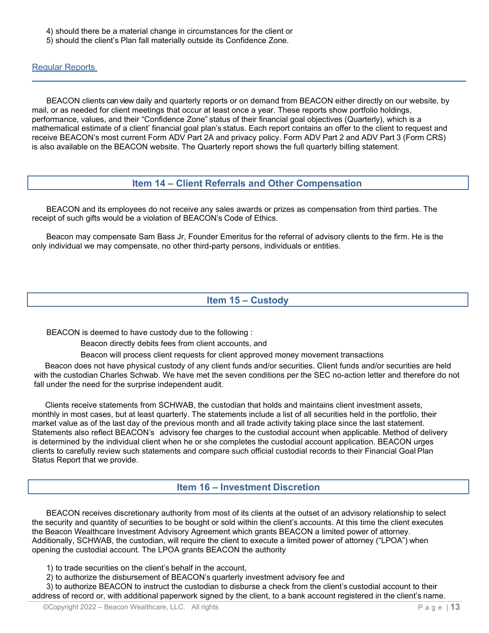- 4) should there be a material change in circumstances for the client or
- 5) should the client's Plan fall materially outside its Confidence Zone.

<span id="page-12-0"></span>Regular Reports

BEACON clients can view daily and quarterly reports or on demand from BEACON either directly on our website, by mail, or as needed for client meetings that occur at least once a year. These reports show portfolio holdings, performance, values, and their "Confidence Zone" status of their financial goal objectives (Quarterly), which is a mathematical estimate of a client' financial goal plan's status. Each report contains an offer to the client to request and receive BEACON's most current Form ADV Part 2A and privacy policy. Form ADV Part 2 and ADV Part 3 (Form CRS) is also available on the BEACON website. The Quarterly report shows the full quarterly billing statement.

# **Item 14 – Client Referrals and Other Compensation**

<span id="page-12-1"></span>BEACON and its employees do not receive any sales awards or prizes as compensation from third parties. The receipt of such gifts would be a violation of BEACON's Code of Ethics.

Beacon may compensate Sam Bass Jr, Founder Emeritus for the referral of advisory clients to the firm. He is the only individual we may compensate, no other third-party persons, individuals or entities.

# **Item 15 – Custody**

<span id="page-12-2"></span>BEACON is deemed to have custody due to the following :

Beacon directly debits fees from client accounts, and

Beacon will process client requests for client approved money movement transactions

 Beacon does not have physical custody of any client funds and/or securities. Client funds and/or securities are held with the custodian Charles Schwab. We have met the seven conditions per the SEC no-action letter and therefore do not fall under the need for the surprise independent audit.

 Clients receive statements from SCHWAB, the custodian that holds and maintains client investment assets, monthly in most cases, but at least quarterly. The statements include a list of all securities held in the portfolio, their market value as of the last day of the previous month and all trade activity taking place since the last statement. Statements also reflect BEACON's advisory fee charges to the custodial account when applicable. Method of delivery is determined by the individual client when he or she completes the custodial account application. BEACON urges clients to carefully review such statements and compare such official custodial records to their Financial Goal Plan Status Report that we provide.

# **Item 16 – Investment Discretion**

<span id="page-12-3"></span>BEACON receives discretionary authority from most of its clients at the outset of an advisory relationship to select the security and quantity of securities to be bought or sold within the client's accounts. At this time the client executes the Beacon Wealthcare Investment Advisory Agreement which grants BEACON a limited power of attorney. Additionally, SCHWAB, the custodian, will require the client to execute a limited power of attorney ("LPOA") when opening the custodial account. The LPOA grants BEACON the authority

1) to trade securities on the client's behalf in the account,

2) to authorize the disbursement of BEACON's quarterly investment advisory fee and

3) to authorize BEACON to instruct the custodian to disburse a check from the client's custodial account to their address of record or, with additional paperwork signed by the client, to a bank account registered in the client's name.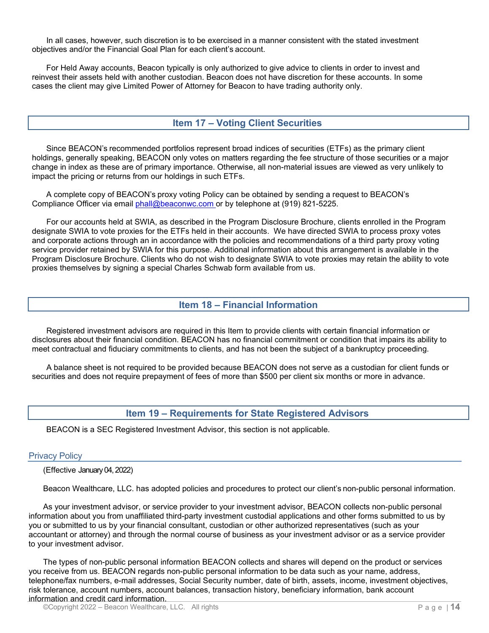In all cases, however, such discretion is to be exercised in a manner consistent with the stated investment objectives and/or the Financial Goal Plan for each client's account.

For Held Away accounts, Beacon typically is only authorized to give advice to clients in order to invest and reinvest their assets held with another custodian. Beacon does not have discretion for these accounts. In some cases the client may give Limited Power of Attorney for Beacon to have trading authority only.

### **Item 17 – Voting Client Securities**

<span id="page-13-0"></span>Since BEACON's recommended portfolios represent broad indices of securities (ETFs) as the primary client holdings, generally speaking, BEACON only votes on matters regarding the fee structure of those securities or a major change in index as these are of primary importance. Otherwise, all non-material issues are viewed as very unlikely to impact the pricing or returns from our holdings in such ETFs.

A complete copy of BEACON's proxy voting Policy can be obtained by sending a request to BEACON's Compliance Officer via email [phall@beaconwc.com](mailto:phall@beaconwc.com) or by telephone at (919) 821-5225.

For our accounts held at SWIA, as described in the Program Disclosure Brochure, clients enrolled in the Program designate SWIA to vote proxies for the ETFs held in their accounts. We have directed SWIA to process proxy votes and corporate actions through an in accordance with the policies and recommendations of a third party proxy voting service provider retained by SWIA for this purpose. Additional information about this arrangement is available in the Program Disclosure Brochure. Clients who do not wish to designate SWIA to vote proxies may retain the ability to vote proxies themselves by signing a special Charles Schwab form available from us.

### **Item 18 – Financial Information**

<span id="page-13-1"></span>Registered investment advisors are required in this Item to provide clients with certain financial information or disclosures about their financial condition. BEACON has no financial commitment or condition that impairs its ability to meet contractual and fiduciary commitments to clients, and has not been the subject of a bankruptcy proceeding.

A balance sheet is not required to be provided because BEACON does not serve as a custodian for client funds or securities and does not require prepayment of fees of more than \$500 per client six months or more in advance.

#### **Item 19 – Requirements for State Registered Advisors**

<span id="page-13-2"></span>BEACON is a SEC Registered Investment Advisor, this section is not applicable.

#### <span id="page-13-3"></span>Privacy Policy

(Effective January 04, 2022)

Beacon Wealthcare, LLC. has adopted policies and procedures to protect our client's non-public personal information.

As your investment advisor, or service provider to your investment advisor, BEACON collects non-public personal information about you from unaffiliated third-party investment custodial applications and other forms submitted to us by you or submitted to us by your financial consultant, custodian or other authorized representatives (such as your accountant or attorney) and through the normal course of business as your investment advisor or as a service provider to your investment advisor.

The types of non-public personal information BEACON collects and shares will depend on the product or services you receive from us. BEACON regards non-public personal information to be data such as your name, address, telephone/fax numbers, e-mail addresses, Social Security number, date of birth, assets, income, investment objectives, risk tolerance, account numbers, account balances, transaction history, beneficiary information, bank account information and credit card information.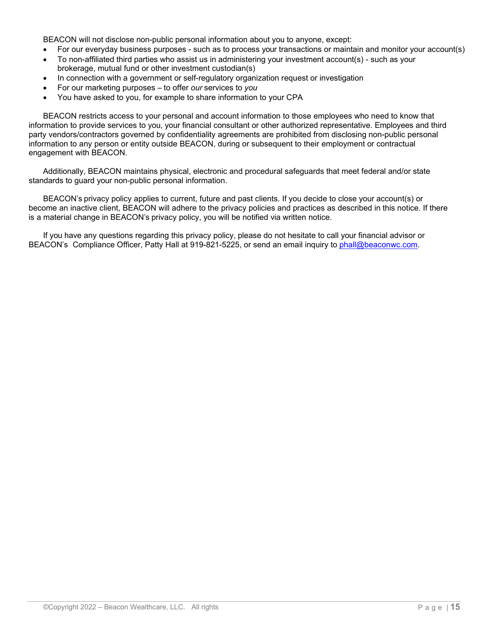BEACON will not disclose non-public personal information about you to anyone, except:

- For our everyday business purposes such as to process your transactions or maintain and monitor your account(s)
- To non-affiliated third parties who assist us in administering your investment account(s) such as your brokerage, mutual fund or other investment custodian(s)
- In connection with a government or self-regulatory organization request or investigation
- For our marketing purposes to offer *our* services to *you*
- You have asked to you, for example to share information to your CPA

BEACON restricts access to your personal and account information to those employees who need to know that information to provide services to you, your financial consultant or other authorized representative. Employees and third party vendors/contractors governed by confidentiality agreements are prohibited from disclosing non-public personal information to any person or entity outside BEACON, during or subsequent to their employment or contractual engagement with BEACON.

Additionally, BEACON maintains physical, electronic and procedural safeguards that meet federal and/or state standards to guard your non-public personal information.

BEACON's privacy policy applies to current, future and past clients. If you decide to close your account(s) or become an inactive client, BEACON will adhere to the privacy policies and practices as described in this notice. If there is a material change in BEACON's privacy policy, you will be notified via written notice.

If you have any questions regarding this privacy policy, please do not hesitate to call your financial advisor or BEACON's Compliance Officer, Patty Hall at 919-821-5225, or send an email inquiry to phall@beaconwc.com.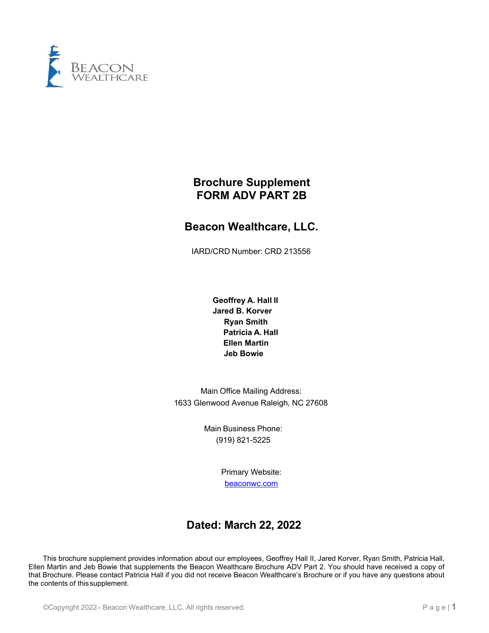

# **Brochure Supplement FORM ADV PART 2B**

# **Beacon Wealthcare, LLC.**

IARD/CRD Number: CRD 213556

**Geoffrey A. Hall II Jared B. Korver Ryan Smith Patricia A. Hall Ellen Martin Jeb Bowie**

Main Office Mailing Address: 1633 Glenwood Avenue Raleigh, NC 27608

> Main Business Phone: (919) 821-5225

> > Primary Website: [beaconwc.com](http://www.beaconinvest.com/)

# **Dated: March 22, 2022**

This brochure supplement provides information about our employees, Geoffrey Hall II, Jared Korver, Ryan Smith, Patricia Hall, Ellen Martin and Jeb Bowie that supplements the Beacon Wealthcare Brochure ADV Part 2. You should have received a copy of that Brochure. Please contact Patricia Hall if you did not receive Beacon Wealthcare's Brochure or if you have any questions about the contents of this supplement.

©Copyright 2022– Beacon Wealthcare, LLC. All rights reserved. P a g e | **1**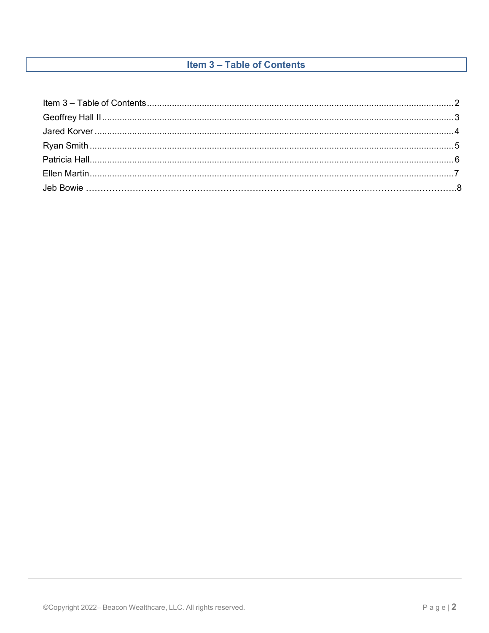# **Item 3 - Table of Contents**

<span id="page-16-0"></span>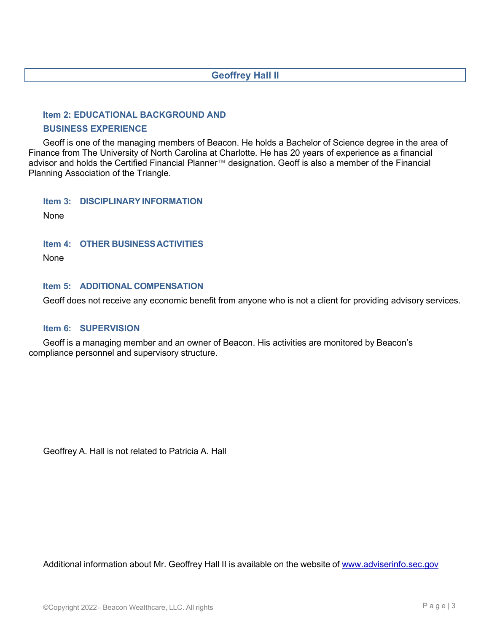# **Geoffrey Hall II**

#### **Item 2: EDUCATIONAL BACKGROUND AND**

#### **BUSINESS EXPERIENCE**

Geoff is one of the managing members of Beacon. He holds a Bachelor of Science degree in the area of Finance from The University of North Carolina at Charlotte. He has 20 years of experience as a financial advisor and holds the Certified Financial Planner™ designation. Geoff is also a member of the Financial Planning Association of the Triangle.

**Item 3: DISCIPLINARYINFORMATION**

None

#### **Item 4: OTHER BUSINESSACTIVITIES**

None

#### **Item 5: ADDITIONAL COMPENSATION**

Geoff does not receive any economic benefit from anyone who is not a client for providing advisory services.

#### **Item 6: SUPERVISION**

Geoff is a managing member and an owner of Beacon. His activities are monitored by Beacon's compliance personnel and supervisory structure.

Geoffrey A. Hall is not related to Patricia A. Hall

Additional information about Mr. Geoffrey Hall II is available on the website of [www.adviserinfo.sec.gov](http://www.adviserinfo.sec.gov/)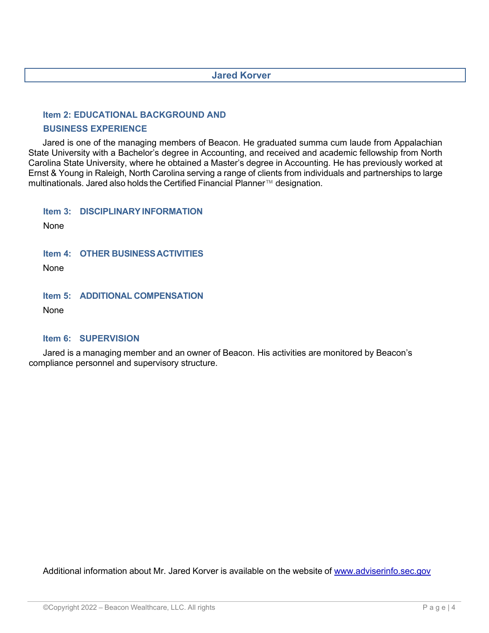# **Jared Korver**

### **Item 2: EDUCATIONAL BACKGROUND AND**

#### **BUSINESS EXPERIENCE**

Jared is one of the managing members of Beacon. He graduated summa cum laude from Appalachian State University with a Bachelor's degree in Accounting, and received and academic fellowship from North Carolina State University, where he obtained a Master's degree in Accounting. He has previously worked at Ernst & Young in Raleigh, North Carolina serving a range of clients from individuals and partnerships to large multinationals. Jared also holds the Certified Financial Planner™ designation.

**Item 3: DISCIPLINARYINFORMATION**

None

**Item 4: OTHER BUSINESSACTIVITIES**

None

**Item 5: ADDITIONAL COMPENSATION**

None

# **Item 6: SUPERVISION**

Jared is a managing member and an owner of Beacon. His activities are monitored by Beacon's compliance personnel and supervisory structure.

Additional information about Mr. Jared Korver is available on the website of [www.adviserinfo.sec.gov](http://www.adviserinfo.sec.gov/)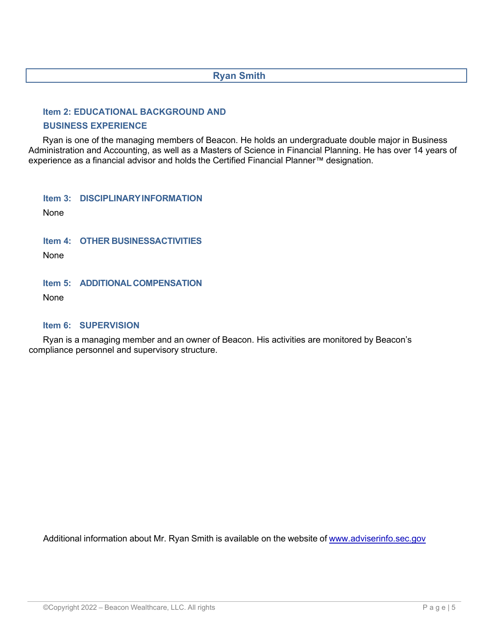# **Ryan Smith**

# **Item 2: EDUCATIONAL BACKGROUND AND**

### **BUSINESS EXPERIENCE**

Ryan is one of the managing members of Beacon. He holds an undergraduate double major in Business Administration and Accounting, as well as a Masters of Science in Financial Planning. He has over 14 years of experience as a financial advisor and holds the Certified Financial Planner™ designation.

**Item 3: DISCIPLINARYINFORMATION**

None

**Item 4: OTHER BUSINESSACTIVITIES**

None

**Item 5: ADDITIONALCOMPENSATION**

None

# **Item 6: SUPERVISION**

Ryan is a managing member and an owner of Beacon. His activities are monitored by Beacon's compliance personnel and supervisory structure.

Additional information about Mr. Ryan Smith is available on the website of [www.adviserinfo.sec.gov](http://www.adviserinfo.sec.gov/)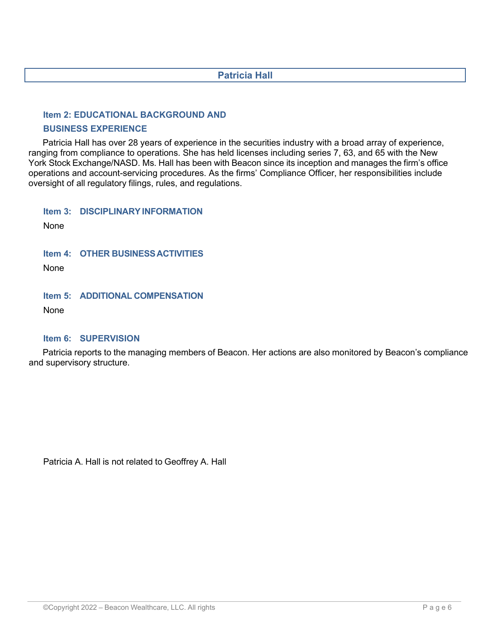# **Patricia Hall**

### **Item 2: EDUCATIONAL BACKGROUND AND**

#### **BUSINESS EXPERIENCE**

Patricia Hall has over 28 years of experience in the securities industry with a broad array of experience, ranging from compliance to operations. She has held licenses including series 7, 63, and 65 with the New York Stock Exchange/NASD. Ms. Hall has been with Beacon since its inception and manages the firm's office operations and account-servicing procedures. As the firms' Compliance Officer, her responsibilities include oversight of all regulatory filings, rules, and regulations.

**Item 3: DISCIPLINARYINFORMATION**

None

**Item 4: OTHER BUSINESSACTIVITIES**

None

**Item 5: ADDITIONAL COMPENSATION**

None

# **Item 6: SUPERVISION**

Patricia reports to the managing members of Beacon. Her actions are also monitored by Beacon's compliance and supervisory structure.

Patricia A. Hall is not related to Geoffrey A. Hall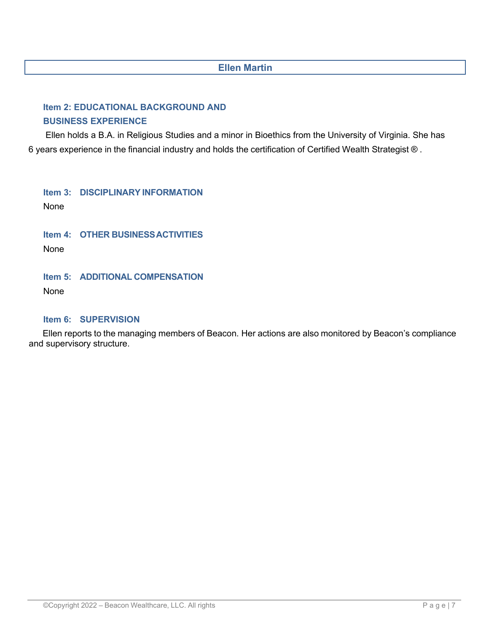# **Ellen Martin**

# **Item 2: EDUCATIONAL BACKGROUND AND BUSINESS EXPERIENCE**

Ellen holds a B.A. in Religious Studies and a minor in Bioethics from the University of Virginia. She has 6 years experience in the financial industry and holds the certification of Certified Wealth Strategist ® .

**Item 3: DISCIPLINARY INFORMATION** None

**Item 4: OTHER BUSINESSACTIVITIES**

None

# **Item 5: ADDITIONAL COMPENSATION**

None

# **Item 6: SUPERVISION**

Ellen reports to the managing members of Beacon. Her actions are also monitored by Beacon's compliance and supervisory structure.